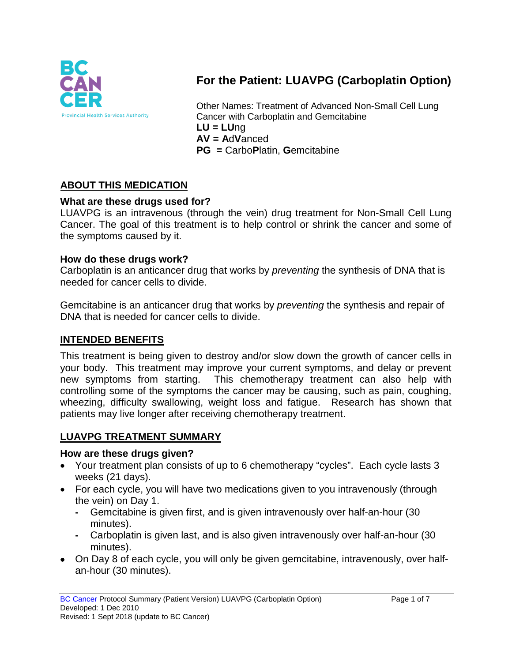

# **For the Patient: LUAVPG (Carboplatin Option)**

Other Names: Treatment of Advanced Non-Small Cell Lung Cancer with Carboplatin and Gemcitabine **LU = LU**ng **AV = A**d**V**anced **PG =** Carbo**P**latin, **G**emcitabine

## **ABOUT THIS MEDICATION**

#### **What are these drugs used for?**

LUAVPG is an intravenous (through the vein) drug treatment for Non-Small Cell Lung Cancer. The goal of this treatment is to help control or shrink the cancer and some of the symptoms caused by it.

#### **How do these drugs work?**

Carboplatin is an anticancer drug that works by *preventing* the synthesis of DNA that is needed for cancer cells to divide.

Gemcitabine is an anticancer drug that works by *preventing* the synthesis and repair of DNA that is needed for cancer cells to divide.

### **INTENDED BENEFITS**

This treatment is being given to destroy and/or slow down the growth of cancer cells in your body. This treatment may improve your current symptoms, and delay or prevent new symptoms from starting. This chemotherapy treatment can also help with controlling some of the symptoms the cancer may be causing, such as pain, coughing, wheezing, difficulty swallowing, weight loss and fatigue. Research has shown that patients may live longer after receiving chemotherapy treatment.

### **LUAVPG TREATMENT SUMMARY**

#### **How are these drugs given?**

- Your treatment plan consists of up to 6 chemotherapy "cycles". Each cycle lasts 3 weeks (21 days).
- For each cycle, you will have two medications given to you intravenously (through the vein) on Day 1.
	- **-** Gemcitabine is given first, and is given intravenously over half-an-hour (30 minutes).
	- **-** Carboplatin is given last, and is also given intravenously over half-an-hour (30 minutes).
- On Day 8 of each cycle, you will only be given gemcitabine, intravenously, over halfan-hour (30 minutes).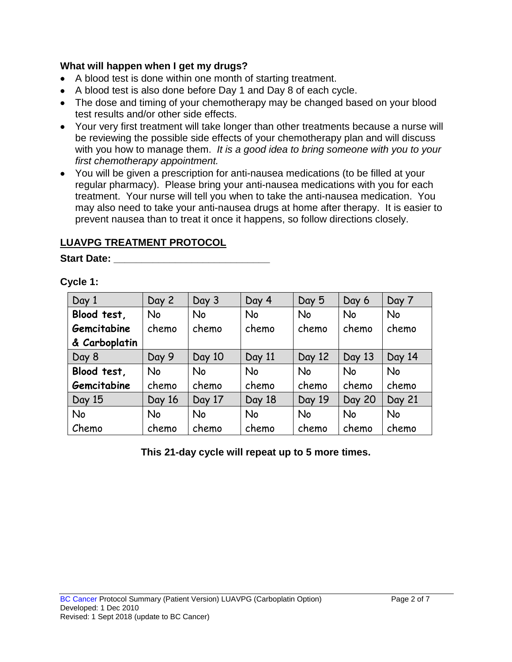#### **What will happen when I get my drugs?**

- A blood test is done within one month of starting treatment.
- A blood test is also done before Day 1 and Day 8 of each cycle.
- The dose and timing of your chemotherapy may be changed based on your blood test results and/or other side effects.
- Your very first treatment will take longer than other treatments because a nurse will be reviewing the possible side effects of your chemotherapy plan and will discuss with you how to manage them. *It is a good idea to bring someone with you to your first chemotherapy appointment.*
- You will be given a prescription for anti-nausea medications (to be filled at your regular pharmacy). Please bring your anti-nausea medications with you for each treatment. Your nurse will tell you when to take the anti-nausea medication. You may also need to take your anti-nausea drugs at home after therapy. It is easier to prevent nausea than to treat it once it happens, so follow directions closely.

### **LUAVPG TREATMENT PROTOCOL**

**Start Date: \_\_\_\_\_\_\_\_\_\_\_\_\_\_\_\_\_\_\_\_\_\_\_\_\_\_\_\_**

#### **Cycle 1:**

| Day 1         | Day 2     | Day 3     | Day 4     | Day 5     | Day 6         | Day 7         |
|---------------|-----------|-----------|-----------|-----------|---------------|---------------|
| Blood test,   | <b>No</b> | <b>No</b> | <b>No</b> | <b>No</b> | <b>No</b>     | <b>No</b>     |
| Gemcitabine   | chemo     | chemo     | chemo     | chemo     | chemo         | chemo         |
| & Carboplatin |           |           |           |           |               |               |
| Day 8         | Day 9     | Day 10    | Day 11    | Day 12    | Day 13        | Day 14        |
| Blood test,   | <b>No</b> | <b>No</b> | <b>No</b> | <b>No</b> | <b>No</b>     | <b>No</b>     |
| Gemcitabine   | chemo     | chemo     | chemo     | chemo     | chemo         | chemo         |
| Day 15        | Day 16    | Day 17    | Day 18    | Day 19    | <b>Day 20</b> | <b>Day 21</b> |
| No            | <b>No</b> | <b>No</b> | <b>No</b> | <b>No</b> | <b>No</b>     | <b>No</b>     |
| Chemo         | chemo     | chemo     | chemo     | chemo     | chemo         | chemo         |

**This 21-day cycle will repeat up to 5 more times.**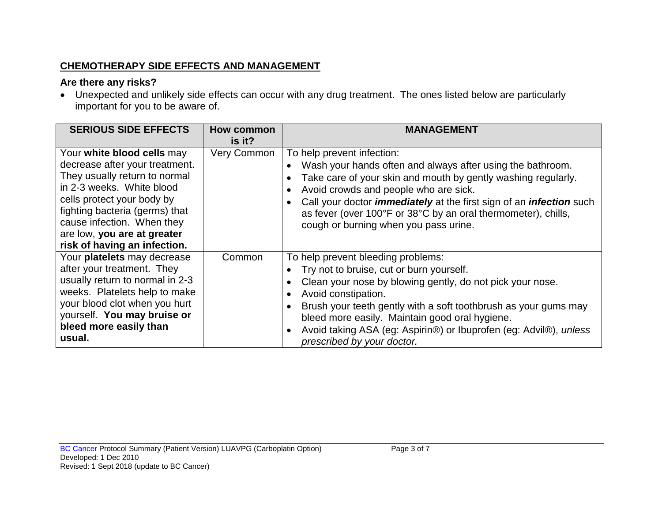### **CHEMOTHERAPY SIDE EFFECTS AND MANAGEMENT**

### **Are there any risks?**

• Unexpected and unlikely side effects can occur with any drug treatment. The ones listed below are particularly important for you to be aware of.

| <b>SERIOUS SIDE EFFECTS</b>                                                                                                                                                                                                                                                             | How common<br>is it? | <b>MANAGEMENT</b>                                                                                                                                                                                                                                                                                                                                                                                 |
|-----------------------------------------------------------------------------------------------------------------------------------------------------------------------------------------------------------------------------------------------------------------------------------------|----------------------|---------------------------------------------------------------------------------------------------------------------------------------------------------------------------------------------------------------------------------------------------------------------------------------------------------------------------------------------------------------------------------------------------|
| Your white blood cells may<br>decrease after your treatment.<br>They usually return to normal<br>in 2-3 weeks. White blood<br>cells protect your body by<br>fighting bacteria (germs) that<br>cause infection. When they<br>are low, you are at greater<br>risk of having an infection. | Very Common          | To help prevent infection:<br>Wash your hands often and always after using the bathroom.<br>Take care of your skin and mouth by gently washing regularly.<br>Avoid crowds and people who are sick.<br>Call your doctor <i>immediately</i> at the first sign of an <i>infection</i> such<br>as fever (over 100°F or 38°C by an oral thermometer), chills,<br>cough or burning when you pass urine. |
| Your platelets may decrease<br>after your treatment. They<br>usually return to normal in 2-3<br>weeks. Platelets help to make<br>your blood clot when you hurt<br>yourself. You may bruise or<br>bleed more easily than<br>usual.                                                       | Common               | To help prevent bleeding problems:<br>Try not to bruise, cut or burn yourself.<br>Clean your nose by blowing gently, do not pick your nose.<br>Avoid constipation.<br>Brush your teeth gently with a soft toothbrush as your gums may<br>bleed more easily. Maintain good oral hygiene.<br>Avoid taking ASA (eg: Aspirin®) or Ibuprofen (eg: Advil®), unless<br>prescribed by your doctor.        |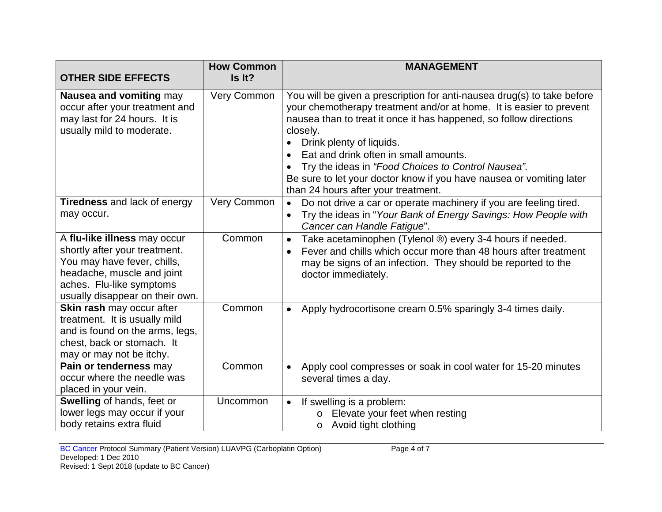| <b>OTHER SIDE EFFECTS</b>                                                                                                                                                                 | <b>How Common</b><br>Is It? | <b>MANAGEMENT</b>                                                                                                                                                                                                                                                                                                                                                                                                                                                          |
|-------------------------------------------------------------------------------------------------------------------------------------------------------------------------------------------|-----------------------------|----------------------------------------------------------------------------------------------------------------------------------------------------------------------------------------------------------------------------------------------------------------------------------------------------------------------------------------------------------------------------------------------------------------------------------------------------------------------------|
| Nausea and vomiting may<br>occur after your treatment and<br>may last for 24 hours. It is<br>usually mild to moderate.                                                                    | Very Common                 | You will be given a prescription for anti-nausea drug(s) to take before<br>your chemotherapy treatment and/or at home. It is easier to prevent<br>nausea than to treat it once it has happened, so follow directions<br>closely.<br>Drink plenty of liquids.<br>Eat and drink often in small amounts.<br>Try the ideas in "Food Choices to Control Nausea".<br>Be sure to let your doctor know if you have nausea or vomiting later<br>than 24 hours after your treatment. |
| <b>Tiredness</b> and lack of energy<br>may occur.                                                                                                                                         | Very Common                 | Do not drive a car or operate machinery if you are feeling tired.<br>$\bullet$<br>Try the ideas in "Your Bank of Energy Savings: How People with<br>Cancer can Handle Fatique".                                                                                                                                                                                                                                                                                            |
| A flu-like illness may occur<br>shortly after your treatment.<br>You may have fever, chills,<br>headache, muscle and joint<br>aches. Flu-like symptoms<br>usually disappear on their own. | Common                      | Take acetaminophen (Tylenol ®) every 3-4 hours if needed.<br>Fever and chills which occur more than 48 hours after treatment<br>$\bullet$<br>may be signs of an infection. They should be reported to the<br>doctor immediately.                                                                                                                                                                                                                                           |
| Skin rash may occur after<br>treatment. It is usually mild<br>and is found on the arms, legs,<br>chest, back or stomach. It<br>may or may not be itchy.                                   | Common                      | Apply hydrocortisone cream 0.5% sparingly 3-4 times daily.                                                                                                                                                                                                                                                                                                                                                                                                                 |
| Pain or tenderness may<br>occur where the needle was<br>placed in your vein.                                                                                                              | Common                      | Apply cool compresses or soak in cool water for 15-20 minutes<br>$\bullet$<br>several times a day.                                                                                                                                                                                                                                                                                                                                                                         |
| Swelling of hands, feet or<br>lower legs may occur if your<br>body retains extra fluid                                                                                                    | <b>Uncommon</b>             | If swelling is a problem:<br>$\bullet$<br>Elevate your feet when resting<br>$\circ$<br>Avoid tight clothing<br>O                                                                                                                                                                                                                                                                                                                                                           |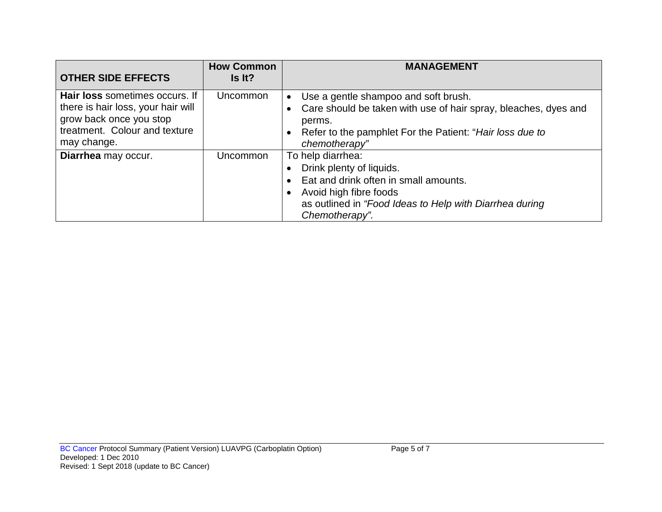| <b>OTHER SIDE EFFECTS</b>                                                                                                                       | <b>How Common</b><br>Is It? | <b>MANAGEMENT</b>                                                                                                                                                                                               |
|-------------------------------------------------------------------------------------------------------------------------------------------------|-----------------------------|-----------------------------------------------------------------------------------------------------------------------------------------------------------------------------------------------------------------|
| Hair loss sometimes occurs. If<br>there is hair loss, your hair will<br>grow back once you stop<br>treatment. Colour and texture<br>may change. | <b>Uncommon</b>             | Use a gentle shampoo and soft brush.<br>$\bullet$<br>• Care should be taken with use of hair spray, bleaches, dyes and<br>perms.<br>• Refer to the pamphlet For the Patient: "Hair loss due to<br>chemotherapy" |
| Diarrhea may occur.                                                                                                                             | Uncommon                    | To help diarrhea:<br>Drink plenty of liquids.<br>Eat and drink often in small amounts.<br>Avoid high fibre foods<br>as outlined in "Food Ideas to Help with Diarrhea during<br>Chemotherapy".                   |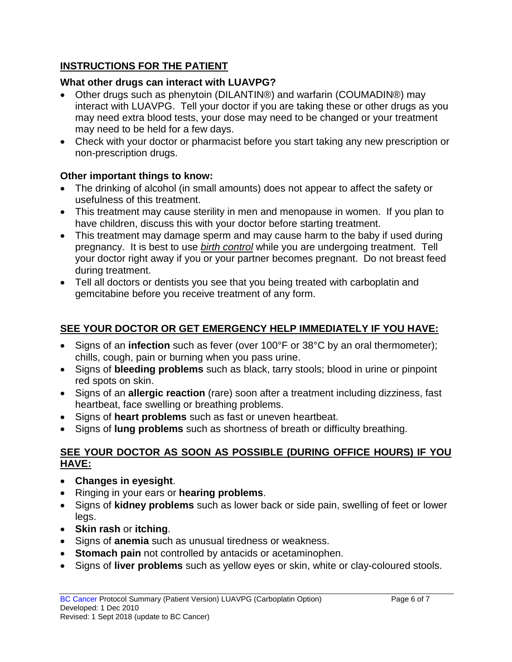# **INSTRUCTIONS FOR THE PATIENT**

## **What other drugs can interact with LUAVPG?**

- Other drugs such as phenytoin (DILANTIN®) and warfarin (COUMADIN®) may interact with LUAVPG. Tell your doctor if you are taking these or other drugs as you may need extra blood tests, your dose may need to be changed or your treatment may need to be held for a few days.
- Check with your doctor or pharmacist before you start taking any new prescription or non-prescription drugs.

# **Other important things to know:**

- The drinking of alcohol (in small amounts) does not appear to affect the safety or usefulness of this treatment.
- This treatment may cause sterility in men and menopause in women. If you plan to have children, discuss this with your doctor before starting treatment.
- This treatment may damage sperm and may cause harm to the baby if used during pregnancy. It is best to use *birth control* while you are undergoing treatment. Tell your doctor right away if you or your partner becomes pregnant. Do not breast feed during treatment.
- Tell all doctors or dentists you see that you being treated with carboplatin and gemcitabine before you receive treatment of any form.

# **SEE YOUR DOCTOR OR GET EMERGENCY HELP IMMEDIATELY IF YOU HAVE:**

- Signs of an **infection** such as fever (over 100°F or 38°C by an oral thermometer); chills, cough, pain or burning when you pass urine.
- Signs of **bleeding problems** such as black, tarry stools; blood in urine or pinpoint red spots on skin.
- Signs of an **allergic reaction** (rare) soon after a treatment including dizziness, fast heartbeat, face swelling or breathing problems.
- Signs of **heart problems** such as fast or uneven heartbeat.
- Signs of **lung problems** such as shortness of breath or difficulty breathing.

#### **SEE YOUR DOCTOR AS SOON AS POSSIBLE (DURING OFFICE HOURS) IF YOU HAVE:**

- **Changes in eyesight**.
- Ringing in your ears or **hearing problems**.
- Signs of **kidney problems** such as lower back or side pain, swelling of feet or lower legs.
- **Skin rash** or **itching**.
- Signs of **anemia** such as unusual tiredness or weakness.
- **Stomach pain** not controlled by antacids or acetaminophen.
- Signs of **liver problems** such as yellow eyes or skin, white or clay-coloured stools.